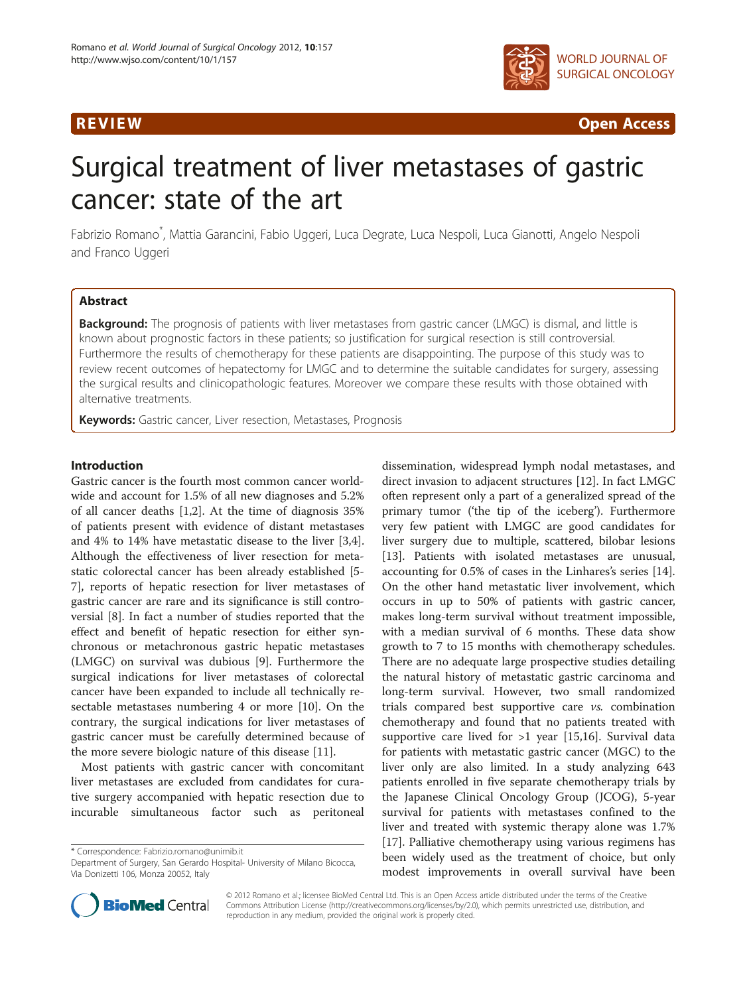

**REVIEW CONSIDERING CONSIDERING CONSIDERING CONSIDERING CONSIDERING CONSIDERING CONSIDERING CONSIDERING CONSIDERING CONSIDERING CONSIDERING CONSIDERING CONSIDERING CONSIDERING CONSIDERING CONSIDERING CONSIDERING CONSIDER** 

# Surgical treatment of liver metastases of gastric cancer: state of the art

Fabrizio Romano\* , Mattia Garancini, Fabio Uggeri, Luca Degrate, Luca Nespoli, Luca Gianotti, Angelo Nespoli and Franco Uggeri

# Abstract

Background: The prognosis of patients with liver metastases from gastric cancer (LMGC) is dismal, and little is known about prognostic factors in these patients; so justification for surgical resection is still controversial. Furthermore the results of chemotherapy for these patients are disappointing. The purpose of this study was to review recent outcomes of hepatectomy for LMGC and to determine the suitable candidates for surgery, assessing the surgical results and clinicopathologic features. Moreover we compare these results with those obtained with alternative treatments.

Keywords: Gastric cancer, Liver resection, Metastases, Prognosis

# Introduction

Gastric cancer is the fourth most common cancer worldwide and account for 1.5% of all new diagnoses and 5.2% of all cancer deaths [\[1,2](#page-9-0)]. At the time of diagnosis 35% of patients present with evidence of distant metastases and 4% to 14% have metastatic disease to the liver [\[3,4](#page-9-0)]. Although the effectiveness of liver resection for metastatic colorectal cancer has been already established [\[5-](#page-9-0) [7\]](#page-9-0), reports of hepatic resection for liver metastases of gastric cancer are rare and its significance is still controversial [\[8](#page-9-0)]. In fact a number of studies reported that the effect and benefit of hepatic resection for either synchronous or metachronous gastric hepatic metastases (LMGC) on survival was dubious [[9\]](#page-10-0). Furthermore the surgical indications for liver metastases of colorectal cancer have been expanded to include all technically resectable metastases numbering 4 or more [[10\]](#page-10-0). On the contrary, the surgical indications for liver metastases of gastric cancer must be carefully determined because of the more severe biologic nature of this disease [[11\]](#page-10-0).

Most patients with gastric cancer with concomitant liver metastases are excluded from candidates for curative surgery accompanied with hepatic resection due to incurable simultaneous factor such as peritoneal

\* Correspondence: [Fabrizio.romano@unimib.it](mailto:Fabrizio.romano@unimib.it)

Department of Surgery, San Gerardo Hospital- University of Milano Bicocca, Via Donizetti 106, Monza 20052, Italy





© 2012 Romano et al.; licensee BioMed Central Ltd. This is an Open Access article distributed under the terms of the Creative Commons Attribution License [\(http://creativecommons.org/licenses/by/2.0\)](http://creativecommons.org/licenses/by/2.0), which permits unrestricted use, distribution, and reproduction in any medium, provided the original work is properly cited.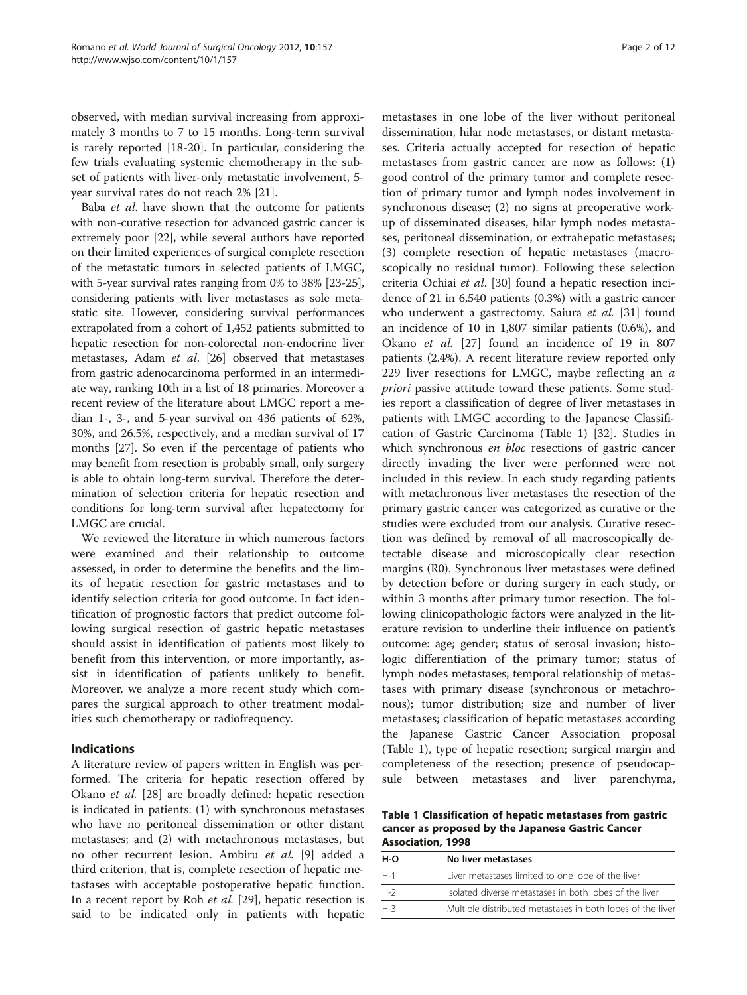<span id="page-1-0"></span>observed, with median survival increasing from approximately 3 months to 7 to 15 months. Long-term survival is rarely reported [\[18](#page-10-0)-[20](#page-10-0)]. In particular, considering the few trials evaluating systemic chemotherapy in the subset of patients with liver-only metastatic involvement, 5 year survival rates do not reach 2% [\[21](#page-10-0)].

Baba *et al.* have shown that the outcome for patients with non-curative resection for advanced gastric cancer is extremely poor [\[22](#page-10-0)], while several authors have reported on their limited experiences of surgical complete resection of the metastatic tumors in selected patients of LMGC, with 5-year survival rates ranging from 0% to 38% [[23](#page-10-0)-[25](#page-10-0)], considering patients with liver metastases as sole metastatic site. However, considering survival performances extrapolated from a cohort of 1,452 patients submitted to hepatic resection for non-colorectal non-endocrine liver metastases, Adam et al. [[26](#page-10-0)] observed that metastases from gastric adenocarcinoma performed in an intermediate way, ranking 10th in a list of 18 primaries. Moreover a recent review of the literature about LMGC report a median 1-, 3-, and 5-year survival on 436 patients of 62%, 30%, and 26.5%, respectively, and a median survival of 17 months [[27](#page-10-0)]. So even if the percentage of patients who may benefit from resection is probably small, only surgery is able to obtain long-term survival. Therefore the determination of selection criteria for hepatic resection and conditions for long-term survival after hepatectomy for LMGC are crucial.

We reviewed the literature in which numerous factors were examined and their relationship to outcome assessed, in order to determine the benefits and the limits of hepatic resection for gastric metastases and to identify selection criteria for good outcome. In fact identification of prognostic factors that predict outcome following surgical resection of gastric hepatic metastases should assist in identification of patients most likely to benefit from this intervention, or more importantly, assist in identification of patients unlikely to benefit. Moreover, we analyze a more recent study which compares the surgical approach to other treatment modalities such chemotherapy or radiofrequency.

# Indications

A literature review of papers written in English was performed. The criteria for hepatic resection offered by Okano et al. [[28](#page-10-0)] are broadly defined: hepatic resection is indicated in patients: (1) with synchronous metastases who have no peritoneal dissemination or other distant metastases; and (2) with metachronous metastases, but no other recurrent lesion. Ambiru et al. [[9\]](#page-10-0) added a third criterion, that is, complete resection of hepatic metastases with acceptable postoperative hepatic function. In a recent report by Roh *et al.* [[29\]](#page-10-0), hepatic resection is said to be indicated only in patients with hepatic

metastases in one lobe of the liver without peritoneal dissemination, hilar node metastases, or distant metastases. Criteria actually accepted for resection of hepatic metastases from gastric cancer are now as follows: (1) good control of the primary tumor and complete resection of primary tumor and lymph nodes involvement in synchronous disease; (2) no signs at preoperative workup of disseminated diseases, hilar lymph nodes metastases, peritoneal dissemination, or extrahepatic metastases; (3) complete resection of hepatic metastases (macroscopically no residual tumor). Following these selection criteria Ochiai et al. [[30\]](#page-10-0) found a hepatic resection incidence of 21 in 6,540 patients (0.3%) with a gastric cancer who underwent a gastrectomy. Saiura et al. [\[31](#page-10-0)] found an incidence of 10 in 1,807 similar patients (0.6%), and Okano et al. [[27\]](#page-10-0) found an incidence of 19 in 807 patients (2.4%). A recent literature review reported only 229 liver resections for LMGC, maybe reflecting an  $a$ priori passive attitude toward these patients. Some studies report a classification of degree of liver metastases in patients with LMGC according to the Japanese Classification of Gastric Carcinoma (Table 1) [[32](#page-10-0)]. Studies in which synchronous *en bloc* resections of gastric cancer directly invading the liver were performed were not included in this review. In each study regarding patients with metachronous liver metastases the resection of the primary gastric cancer was categorized as curative or the studies were excluded from our analysis. Curative resection was defined by removal of all macroscopically detectable disease and microscopically clear resection margins (R0). Synchronous liver metastases were defined by detection before or during surgery in each study, or within 3 months after primary tumor resection. The following clinicopathologic factors were analyzed in the literature revision to underline their influence on patient's outcome: age; gender; status of serosal invasion; histologic differentiation of the primary tumor; status of lymph nodes metastases; temporal relationship of metastases with primary disease (synchronous or metachronous); tumor distribution; size and number of liver metastases; classification of hepatic metastases according the Japanese Gastric Cancer Association proposal (Table 1), type of hepatic resection; surgical margin and completeness of the resection; presence of pseudocapsule between metastases and liver parenchyma,

Table 1 Classification of hepatic metastases from gastric cancer as proposed by the Japanese Gastric Cancer Association, 1998

| <b>H-O</b> | No liver metastases                                        |
|------------|------------------------------------------------------------|
| $H-1$      | Liver metastases limited to one lobe of the liver          |
| $H-2$      | Isolated diverse metastases in both lobes of the liver     |
| $H-3$      | Multiple distributed metastases in both lobes of the liver |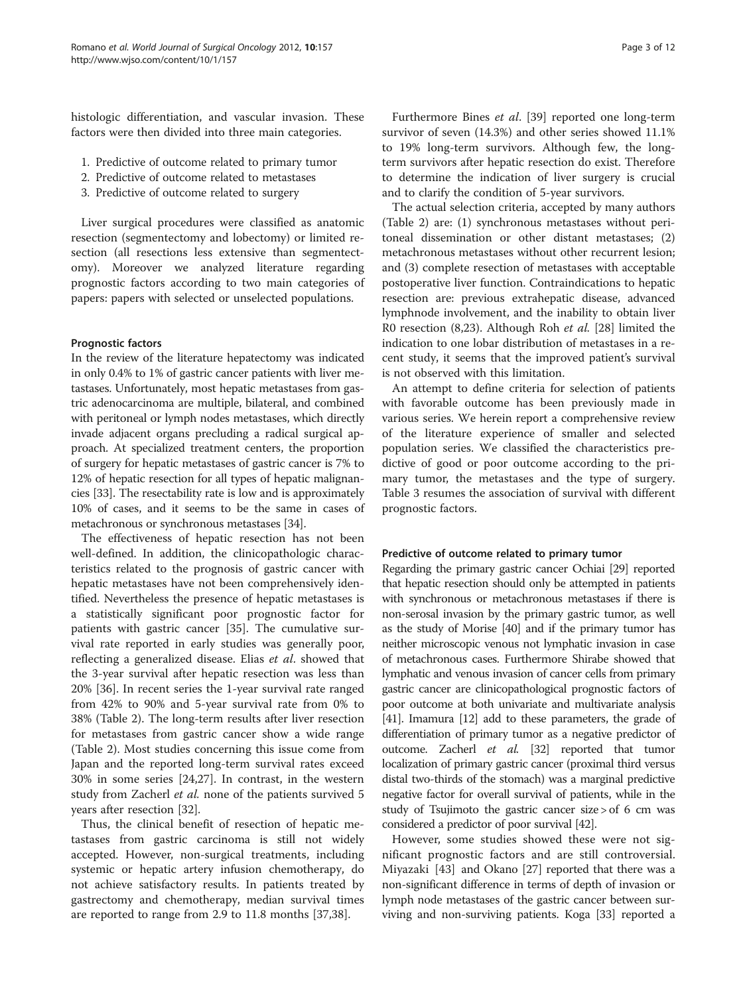histologic differentiation, and vascular invasion. These factors were then divided into three main categories.

- 1. Predictive of outcome related to primary tumor
- 2. Predictive of outcome related to metastases
- 3. Predictive of outcome related to surgery

Liver surgical procedures were classified as anatomic resection (segmentectomy and lobectomy) or limited resection (all resections less extensive than segmentectomy). Moreover we analyzed literature regarding prognostic factors according to two main categories of papers: papers with selected or unselected populations.

#### Prognostic factors

In the review of the literature hepatectomy was indicated in only 0.4% to 1% of gastric cancer patients with liver metastases. Unfortunately, most hepatic metastases from gastric adenocarcinoma are multiple, bilateral, and combined with peritoneal or lymph nodes metastases, which directly invade adjacent organs precluding a radical surgical approach. At specialized treatment centers, the proportion of surgery for hepatic metastases of gastric cancer is 7% to 12% of hepatic resection for all types of hepatic malignancies [\[33\]](#page-10-0). The resectability rate is low and is approximately 10% of cases, and it seems to be the same in cases of metachronous or synchronous metastases [\[34](#page-10-0)].

The effectiveness of hepatic resection has not been well-defined. In addition, the clinicopathologic characteristics related to the prognosis of gastric cancer with hepatic metastases have not been comprehensively identified. Nevertheless the presence of hepatic metastases is a statistically significant poor prognostic factor for patients with gastric cancer [\[35](#page-10-0)]. The cumulative survival rate reported in early studies was generally poor, reflecting a generalized disease. Elias et al. showed that the 3-year survival after hepatic resection was less than 20% [[36\]](#page-10-0). In recent series the 1-year survival rate ranged from 42% to 90% and 5-year survival rate from 0% to 38% (Table [2\)](#page-3-0). The long-term results after liver resection for metastases from gastric cancer show a wide range (Table [2](#page-3-0)). Most studies concerning this issue come from Japan and the reported long-term survival rates exceed 30% in some series [[24,27](#page-10-0)]. In contrast, in the western study from Zacherl *et al.* none of the patients survived 5 years after resection [[32\]](#page-10-0).

Thus, the clinical benefit of resection of hepatic metastases from gastric carcinoma is still not widely accepted. However, non-surgical treatments, including systemic or hepatic artery infusion chemotherapy, do not achieve satisfactory results. In patients treated by gastrectomy and chemotherapy, median survival times are reported to range from 2.9 to 11.8 months [[37,38](#page-10-0)].

Furthermore Bines et al. [\[39\]](#page-10-0) reported one long-term survivor of seven (14.3%) and other series showed 11.1% to 19% long-term survivors. Although few, the longterm survivors after hepatic resection do exist. Therefore to determine the indication of liver surgery is crucial and to clarify the condition of 5-year survivors.

The actual selection criteria, accepted by many authors (Table [2\)](#page-3-0) are: (1) synchronous metastases without peritoneal dissemination or other distant metastases; (2) metachronous metastases without other recurrent lesion; and (3) complete resection of metastases with acceptable postoperative liver function. Contraindications to hepatic resection are: previous extrahepatic disease, advanced lymphnode involvement, and the inability to obtain liver R0 resection (8,23). Although Roh et al. [\[28](#page-10-0)] limited the indication to one lobar distribution of metastases in a recent study, it seems that the improved patient's survival is not observed with this limitation.

An attempt to define criteria for selection of patients with favorable outcome has been previously made in various series. We herein report a comprehensive review of the literature experience of smaller and selected population series. We classified the characteristics predictive of good or poor outcome according to the primary tumor, the metastases and the type of surgery. Table [3](#page-6-0) resumes the association of survival with different prognostic factors.

#### Predictive of outcome related to primary tumor

Regarding the primary gastric cancer Ochiai [\[29](#page-10-0)] reported that hepatic resection should only be attempted in patients with synchronous or metachronous metastases if there is non-serosal invasion by the primary gastric tumor, as well as the study of Morise [\[40](#page-10-0)] and if the primary tumor has neither microscopic venous not lymphatic invasion in case of metachronous cases. Furthermore Shirabe showed that lymphatic and venous invasion of cancer cells from primary gastric cancer are clinicopathological prognostic factors of poor outcome at both univariate and multivariate analysis [[41](#page-10-0)]. Imamura [\[12](#page-10-0)] add to these parameters, the grade of differentiation of primary tumor as a negative predictor of outcome. Zacherl et al. [\[32](#page-10-0)] reported that tumor localization of primary gastric cancer (proximal third versus distal two-thirds of the stomach) was a marginal predictive negative factor for overall survival of patients, while in the study of Tsujimoto the gastric cancer size > of 6 cm was considered a predictor of poor survival [[42](#page-10-0)].

However, some studies showed these were not significant prognostic factors and are still controversial. Miyazaki [[43](#page-10-0)] and Okano [[27](#page-10-0)] reported that there was a non-significant difference in terms of depth of invasion or lymph node metastases of the gastric cancer between surviving and non-surviving patients. Koga [\[33\]](#page-10-0) reported a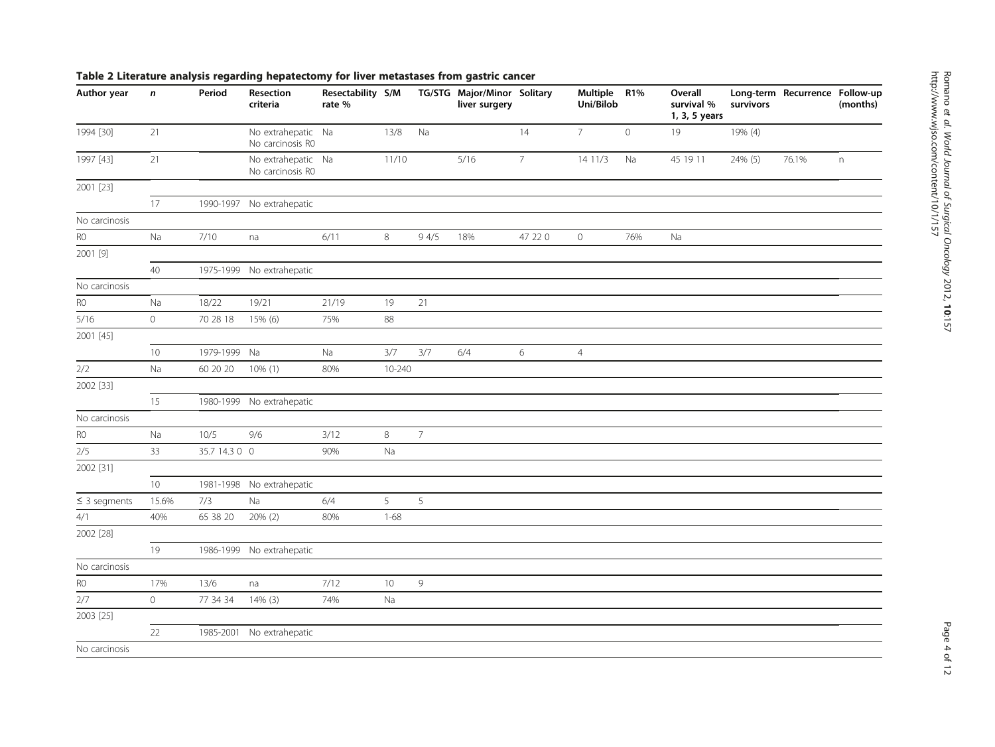| Author year       | $\mathsf{n}$ | Period        | Resection<br>criteria                  | Resectability S/M<br>rate % |          |                | TG/STG Major/Minor Solitary<br>liver surgery |                 | Multiple R1%<br>Uni/Bilob |             | Overall<br>survival %<br>1, 3, 5 years | survivors | Long-term Recurrence Follow-up | (months) |
|-------------------|--------------|---------------|----------------------------------------|-----------------------------|----------|----------------|----------------------------------------------|-----------------|---------------------------|-------------|----------------------------------------|-----------|--------------------------------|----------|
| 1994 [30]         | 21           |               | No extrahepatic Na<br>No carcinosis R0 |                             | 13/8     | Na             |                                              | 14              | $7^{\circ}$               | $\mathbf 0$ | 19                                     | 19% (4)   |                                |          |
| 1997 [43]         | 21           |               | No extrahepatic Na<br>No carcinosis R0 |                             | 11/10    |                | 5/16                                         | $7\overline{ }$ | 14 11/3                   | Na          | 45 19 11                               | 24% (5)   | 76.1%                          | n        |
| 2001 [23]         |              |               |                                        |                             |          |                |                                              |                 |                           |             |                                        |           |                                |          |
|                   | 17           |               | 1990-1997 No extrahepatic              |                             |          |                |                                              |                 |                           |             |                                        |           |                                |          |
| No carcinosis     |              |               |                                        |                             |          |                |                                              |                 |                           |             |                                        |           |                                |          |
| ${\sf R0}$        | Na           | 7/10          | na                                     | 6/11                        | 8        | 94/5           | 18%                                          | 47 22 0         | $\circ$                   | 76%         | Na                                     |           |                                |          |
| 2001 [9]          |              |               |                                        |                             |          |                |                                              |                 |                           |             |                                        |           |                                |          |
|                   | 40           |               | 1975-1999 No extrahepatic              |                             |          |                |                                              |                 |                           |             |                                        |           |                                |          |
| No carcinosis     |              |               |                                        |                             |          |                |                                              |                 |                           |             |                                        |           |                                |          |
| ${\sf R0}$        | Na           | 18/22         | 19/21                                  | 21/19                       | 19       | $21$           |                                              |                 |                           |             |                                        |           |                                |          |
| $5/16$            | $\circ$      | 70 28 18      | 15% (6)                                | 75%                         | 88       |                |                                              |                 |                           |             |                                        |           |                                |          |
| 2001 [45]         |              |               |                                        |                             |          |                |                                              |                 |                           |             |                                        |           |                                |          |
|                   | 10           | 1979-1999 Na  |                                        | Na                          | 3/7      | 3/7            | 6/4                                          | 6               | $\overline{4}$            |             |                                        |           |                                |          |
| $2/2$             | Na           | 60 20 20      | 10% (1)                                | 80%                         | 10-240   |                |                                              |                 |                           |             |                                        |           |                                |          |
| 2002 [33]         |              |               |                                        |                             |          |                |                                              |                 |                           |             |                                        |           |                                |          |
|                   | 15           |               | 1980-1999 No extrahepatic              |                             |          |                |                                              |                 |                           |             |                                        |           |                                |          |
| No carcinosis     |              |               |                                        |                             |          |                |                                              |                 |                           |             |                                        |           |                                |          |
| ${\sf R0}$        | Na           | 10/5          | 9/6                                    | 3/12                        | 8        | $\overline{7}$ |                                              |                 |                           |             |                                        |           |                                |          |
| 2/5               | 33           | 35.7 14.3 0 0 |                                        | 90%                         | Na       |                |                                              |                 |                           |             |                                        |           |                                |          |
| 2002 [31]         |              |               |                                        |                             |          |                |                                              |                 |                           |             |                                        |           |                                |          |
|                   | $10$         |               | 1981-1998 No extrahepatic              |                             |          |                |                                              |                 |                           |             |                                        |           |                                |          |
| $\leq$ 3 segments | 15.6%        | 7/3           | $\mathsf{Na}\xspace$                   | $6/4$                       | 5        | 5              |                                              |                 |                           |             |                                        |           |                                |          |
| 4/1               | 40%          | 65 38 20      | 20% (2)                                | 80%                         | $1 - 68$ |                |                                              |                 |                           |             |                                        |           |                                |          |
| 2002 [28]         |              |               |                                        |                             |          |                |                                              |                 |                           |             |                                        |           |                                |          |
|                   | 19           |               | 1986-1999 No extrahepatic              |                             |          |                |                                              |                 |                           |             |                                        |           |                                |          |
| No carcinosis     |              |               |                                        |                             |          |                |                                              |                 |                           |             |                                        |           |                                |          |
| ${\sf R0}$        | 17%          | 13/6          | na                                     | 7/12                        | 10       | 9              |                                              |                 |                           |             |                                        |           |                                |          |
| $2/7$             | $\circ$      | 77 34 34      | $14%$ (3)                              | 74%                         | Na       |                |                                              |                 |                           |             |                                        |           |                                |          |
| 2003 [25]         |              |               |                                        |                             |          |                |                                              |                 |                           |             |                                        |           |                                |          |
|                   | 22           |               | 1985-2001 No extrahepatic              |                             |          |                |                                              |                 |                           |             |                                        |           |                                |          |
| No carcinosis     |              |               |                                        |                             |          |                |                                              |                 |                           |             |                                        |           |                                |          |
|                   |              |               |                                        |                             |          |                |                                              |                 |                           |             |                                        |           |                                |          |

# <span id="page-3-0"></span>Table 2 Literature analysis regarding hepatectomy for liver metastases from gastric cancer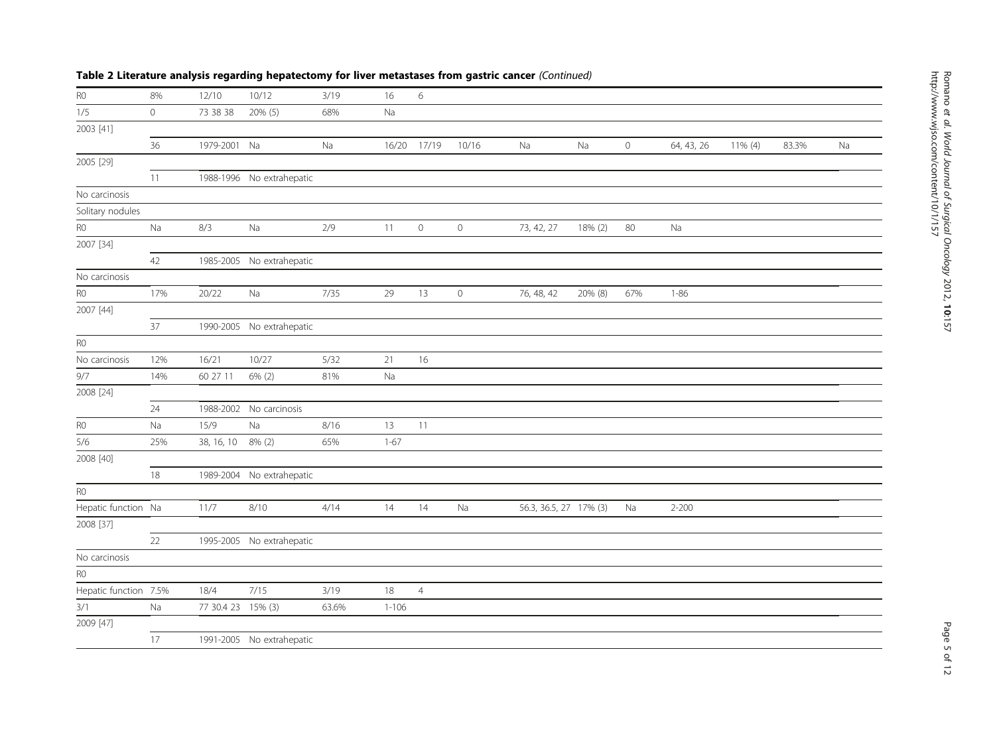| ${\sf R0}$            | 8%                   | 12/10              | 10/12                     | 3/19  | 16        | 6              |         |                        |         |         |            |         |       |    |
|-----------------------|----------------------|--------------------|---------------------------|-------|-----------|----------------|---------|------------------------|---------|---------|------------|---------|-------|----|
| 1/5                   | $\circ$              | 73 38 38           | 20% (5)                   | 68%   | Na        |                |         |                        |         |         |            |         |       |    |
| 2003 [41]             |                      |                    |                           |       |           |                |         |                        |         |         |            |         |       |    |
|                       | 36                   | 1979-2001 Na       |                           | Na    |           | 16/20 17/19    | 10/16   | $\rm Na$               | Na      | $\circ$ | 64, 43, 26 | 11% (4) | 83.3% | Na |
| 2005 [29]             |                      |                    |                           |       |           |                |         |                        |         |         |            |         |       |    |
|                       | 11                   |                    | 1988-1996 No extrahepatic |       |           |                |         |                        |         |         |            |         |       |    |
| No carcinosis         |                      |                    |                           |       |           |                |         |                        |         |         |            |         |       |    |
| Solitary nodules      |                      |                    |                           |       |           |                |         |                        |         |         |            |         |       |    |
| ${\sf R0}$            | Na                   | 8/3                | Na                        | 2/9   | 11        | $\circ$        | $\,0\,$ | 73, 42, 27             | 18% (2) | 80      | Na         |         |       |    |
| 2007 [34]             |                      |                    |                           |       |           |                |         |                        |         |         |            |         |       |    |
|                       | 42                   |                    | 1985-2005 No extrahepatic |       |           |                |         |                        |         |         |            |         |       |    |
| No carcinosis         |                      |                    |                           |       |           |                |         |                        |         |         |            |         |       |    |
| ${\sf R0}$            | 17%                  | 20/22              | Na                        | 7/35  | 29        | 13             | $\circ$ | 76, 48, 42             | 20% (8) | 67%     | $1 - 86$   |         |       |    |
| 2007 [44]             |                      |                    |                           |       |           |                |         |                        |         |         |            |         |       |    |
|                       | 37                   |                    | 1990-2005 No extrahepatic |       |           |                |         |                        |         |         |            |         |       |    |
| ${\sf R0}$            |                      |                    |                           |       |           |                |         |                        |         |         |            |         |       |    |
| No carcinosis         | 12%                  | 16/21              | 10/27                     | 5/32  | $21$      | 16             |         |                        |         |         |            |         |       |    |
| 9/7                   | 14%                  | 60 27 11           | 6% (2)                    | 81%   | Na        |                |         |                        |         |         |            |         |       |    |
| 2008 [24]             |                      |                    |                           |       |           |                |         |                        |         |         |            |         |       |    |
|                       | 24                   |                    | 1988-2002 No carcinosis   |       |           |                |         |                        |         |         |            |         |       |    |
| ${\sf R0}$            | $\mathsf{Na}\xspace$ | 15/9               | Na                        | 8/16  | 13        | 11             |         |                        |         |         |            |         |       |    |
| $5/6$                 | 25%                  | 38, 16, 10         | 8% (2)                    | 65%   | $1-67$    |                |         |                        |         |         |            |         |       |    |
| 2008 [40]             |                      |                    |                           |       |           |                |         |                        |         |         |            |         |       |    |
|                       | 18                   |                    | 1989-2004 No extrahepatic |       |           |                |         |                        |         |         |            |         |       |    |
| ${\sf R0}$            |                      |                    |                           |       |           |                |         |                        |         |         |            |         |       |    |
| Hepatic function Na   |                      | 11/7               | 8/10                      | 4/14  | 14        | 14             | Na      | 56.3, 36.5, 27 17% (3) |         | Na      | $2 - 200$  |         |       |    |
| 2008 [37]             |                      |                    |                           |       |           |                |         |                        |         |         |            |         |       |    |
|                       | 22                   |                    | 1995-2005 No extrahepatic |       |           |                |         |                        |         |         |            |         |       |    |
| No carcinosis         |                      |                    |                           |       |           |                |         |                        |         |         |            |         |       |    |
| ${\sf R0}$            |                      |                    |                           |       |           |                |         |                        |         |         |            |         |       |    |
| Hepatic function 7.5% |                      | 18/4               | 7/15                      | 3/19  | $18\,$    | $\overline{4}$ |         |                        |         |         |            |         |       |    |
| 3/1                   | $\mathsf{Na}\xspace$ | 77 30.4 23 15% (3) |                           | 63.6% | $1 - 106$ |                |         |                        |         |         |            |         |       |    |
| 2009 [47]             |                      |                    |                           |       |           |                |         |                        |         |         |            |         |       |    |
|                       | 17                   |                    | 1991-2005 No extrahepatic |       |           |                |         |                        |         |         |            |         |       |    |

# Table 2 Literature analysis regarding hepatectomy for liver metastases from gastric cancer (Continued)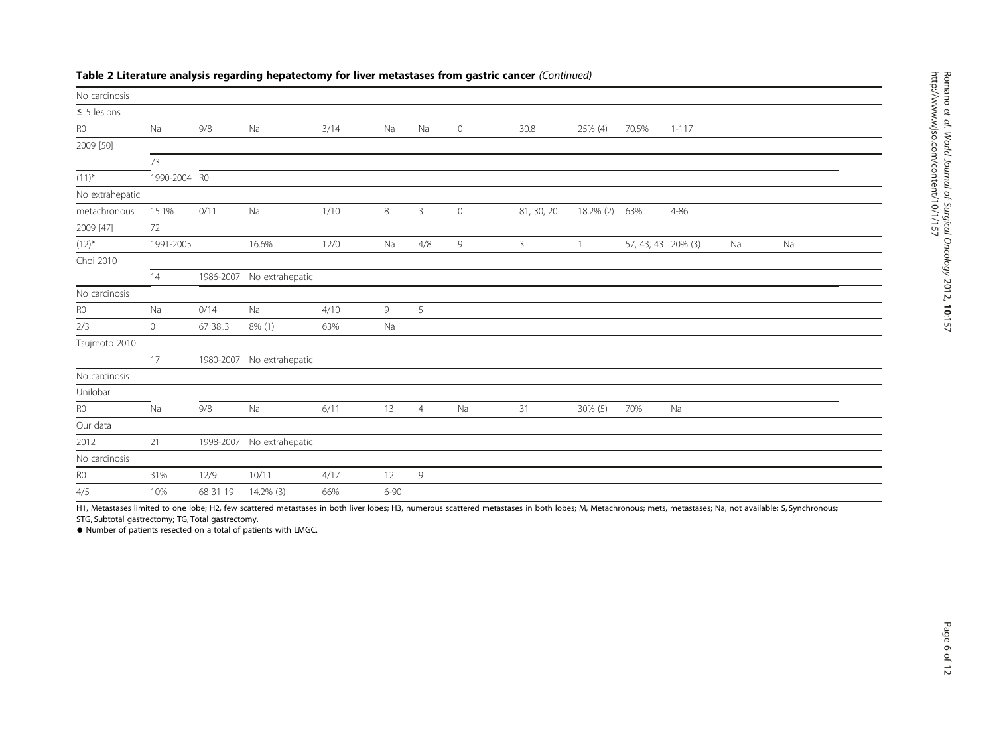Table 2 Literature analysis regarding hepatectomy for liver metastases from gastric cancer (Continued)

| No carcinosis    |              |          |                           |      |          |                |             |              |              |                    |           |    |          |  |
|------------------|--------------|----------|---------------------------|------|----------|----------------|-------------|--------------|--------------|--------------------|-----------|----|----------|--|
| $\leq$ 5 lesions |              |          |                           |      |          |                |             |              |              |                    |           |    |          |  |
| R <sub>0</sub>   | Na           | 9/8      | Na                        | 3/14 | Na       | Na             | $\circ$     | 30.8         | 25% (4)      | 70.5%              | $1 - 117$ |    |          |  |
| 2009 [50]        |              |          |                           |      |          |                |             |              |              |                    |           |    |          |  |
|                  | 73           |          |                           |      |          |                |             |              |              |                    |           |    |          |  |
| $(11)^{*}$       | 1990-2004 RO |          |                           |      |          |                |             |              |              |                    |           |    |          |  |
| No extrahepatic  |              |          |                           |      |          |                |             |              |              |                    |           |    |          |  |
| metachronous     | 15.1%        | 0/11     | Na                        | 1/10 | 8        | $\overline{3}$ | $\mathbb O$ | 81, 30, 20   | 18.2% (2)    | 63%                | $4 - 86$  |    |          |  |
| 2009 [47]        | 72           |          |                           |      |          |                |             |              |              |                    |           |    |          |  |
| $(12)^{*}$       | 1991-2005    |          | 16.6%                     | 12/0 | Na       | $4/8$          | 9           | $\mathbf{3}$ | $\mathbf{1}$ | 57, 43, 43 20% (3) |           | Na | $\rm Na$ |  |
| Choi 2010        |              |          |                           |      |          |                |             |              |              |                    |           |    |          |  |
|                  | 14           |          | 1986-2007 No extrahepatic |      |          |                |             |              |              |                    |           |    |          |  |
| No carcinosis    |              |          |                           |      |          |                |             |              |              |                    |           |    |          |  |
| R <sub>0</sub>   | Na           | 0/14     | Na                        | 4/10 | 9        | 5              |             |              |              |                    |           |    |          |  |
| 2/3              | $\circ$      | 67 38.3  | $8\%$ (1)                 | 63%  | Na       |                |             |              |              |                    |           |    |          |  |
| Tsujmoto 2010    |              |          |                           |      |          |                |             |              |              |                    |           |    |          |  |
|                  | 17           |          | 1980-2007 No extrahepatic |      |          |                |             |              |              |                    |           |    |          |  |
| No carcinosis    |              |          |                           |      |          |                |             |              |              |                    |           |    |          |  |
| Unilobar         |              |          |                           |      |          |                |             |              |              |                    |           |    |          |  |
| ${\sf R0}$       | Na           | 9/8      | Na                        | 6/11 | 13       | $\overline{4}$ | Na          | 31           | 30% (5)      | 70%                | Na        |    |          |  |
| Our data         |              |          |                           |      |          |                |             |              |              |                    |           |    |          |  |
| 2012             | 21           |          | 1998-2007 No extrahepatic |      |          |                |             |              |              |                    |           |    |          |  |
| No carcinosis    |              |          |                           |      |          |                |             |              |              |                    |           |    |          |  |
| R <sub>0</sub>   | 31%          | 12/9     | 10/11                     | 4/17 | 12       | 9              |             |              |              |                    |           |    |          |  |
| 4/5              | 10%          | 68 31 19 | 14.2% (3)                 | 66%  | $6 - 90$ |                |             |              |              |                    |           |    |          |  |

H1, Metastases limited to one lobe; H2, few scattered metastases in both liver lobes; H3, numerous scattered metastases in both lobes; M, Metachronous; mets, metastases; Na, not available; S, Synchronous; STG, Subtotal gastrectomy; TG, Total gastrectomy.

● Number of patients resected on a total of patients with LMGC.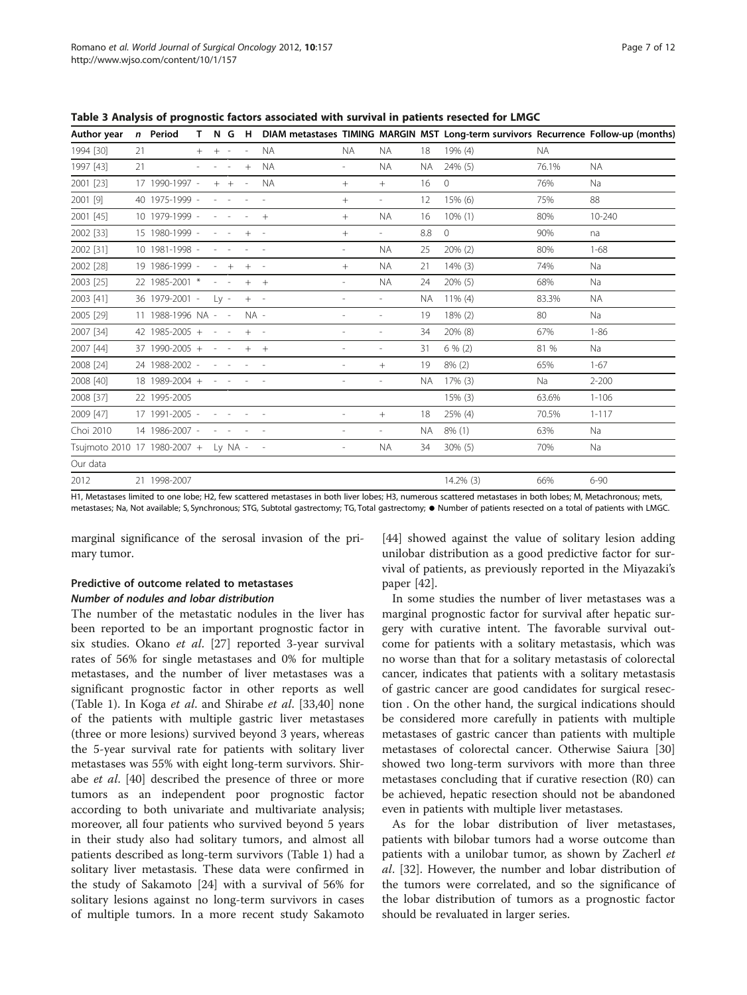| Author year                  |    | n Period             | T.      |                   |                                                                                                 | NG H                       |            |                          |                          |           | DIAM metastases TIMING MARGIN MST Long-term survivors Recurrence Follow-up (months) |           |           |
|------------------------------|----|----------------------|---------|-------------------|-------------------------------------------------------------------------------------------------|----------------------------|------------|--------------------------|--------------------------|-----------|-------------------------------------------------------------------------------------|-----------|-----------|
| 1994 [30]                    | 21 |                      | $+ + -$ |                   |                                                                                                 | $\overline{\phantom{a}}$   | <b>NA</b>  | <b>NA</b>                | <b>NA</b>                | 18        | 19% (4)                                                                             | <b>NA</b> |           |
| 1997 [43]                    | 21 |                      |         |                   |                                                                                                 | $^{+}$                     | <b>NA</b>  | $\overline{a}$           | <b>NA</b>                | <b>NA</b> | 24% (5)                                                                             | 76.1%     | NA.       |
| 2001 [23]                    |    | 17 1990-1997 -       |         |                   | $+ +$                                                                                           |                            | <b>NA</b>  | $+$                      | $+$                      | 16        | $\circ$                                                                             | 76%       | Na        |
| 2001 [9]                     |    | 40 1975-1999 -       |         |                   | $ -$                                                                                            |                            |            | $^{+}$                   | $\overline{\phantom{a}}$ | 12        | 15% (6)                                                                             | 75%       | 88        |
| 2001 [45]                    |    | 10 1979-1999 -       |         |                   | $ -$                                                                                            |                            | $^{+}$     | $+$                      | <b>NA</b>                | 16        | $10\%$ (1)                                                                          | 80%       | 10-240    |
| 2002 [33]                    |    | 15 1980-1999 -       |         |                   | $\sim 100$                                                                                      | $+$                        |            | $^{+}$                   | $\overline{\phantom{a}}$ | 8.8       | $\mathbf{0}$                                                                        | 90%       | na        |
| 2002 [31]                    |    | 10 1981-1998 -       |         | $\sim$ 100 $\sim$ |                                                                                                 |                            |            | $\overline{\phantom{a}}$ | <b>NA</b>                | 25        | 20% (2)                                                                             | 80%       | $1 - 68$  |
| 2002 [28]                    |    | 19 1986-1999 -       |         |                   | $- +$                                                                                           | $+$                        | $\sim$ $-$ | $^{+}$                   | <b>NA</b>                | 21        | $14\%$ (3)                                                                          | 74%       | <b>Na</b> |
| 2003 [25]                    |    | 22 1985-2001 *       |         | $\sim 100$        |                                                                                                 | $+$                        | $+$        | $\overline{\phantom{a}}$ | <b>NA</b>                | 24        | 20% (5)                                                                             | 68%       | Na        |
| 2003 [41]                    |    | 36 1979-2001 -       |         |                   | $Ly -$                                                                                          | $+$ $-$                    |            | $\sim$                   | $\overline{\phantom{a}}$ | ΝA        | $11\%$ (4)                                                                          | 83.3%     | <b>NA</b> |
| 2005 [29]                    |    | 11 1988-1996 NA - -  |         |                   |                                                                                                 | $NA -$                     |            | $\overline{\phantom{a}}$ | $\overline{\phantom{a}}$ | 19        | 18% (2)                                                                             | 80        | <b>Na</b> |
| 2007 [34]                    |    | 42 1985-2005 +       |         | $\sim$ $   -$     |                                                                                                 | $+$ $-$                    |            | $\sim$                   | $\overline{\phantom{a}}$ | 34        | 20% (8)                                                                             | 67%       | $1 - 86$  |
| 2007 [44]                    |    | $37$ 1990-2005 + - - |         |                   |                                                                                                 | $+$ $+$                    |            | $\overline{\phantom{a}}$ | $\overline{\phantom{a}}$ | 31        | $6\%$ (2)                                                                           | 81 %      | <b>Na</b> |
| 2008 [24]                    |    | 24 1988-2002 -       |         |                   | <b>Contract Contract</b>                                                                        |                            |            | ×,                       | $+$                      | 19        | $8\%$ (2)                                                                           | 65%       | $1-67$    |
| 2008 [40]                    |    | 18 1989-2004 + - -   |         |                   |                                                                                                 |                            |            | $\sim$                   | $\overline{\phantom{a}}$ | <b>NA</b> | 17% (3)                                                                             | <b>Na</b> | $2 - 200$ |
| 2008 [37]                    |    | 22 1995-2005         |         |                   |                                                                                                 |                            |            |                          |                          |           | 15% (3)                                                                             | 63.6%     | $1 - 106$ |
| 2009 [47]                    |    | 17 1991-2005 -       |         |                   | $\mathcal{L}^{\mathcal{A}}$ , and $\mathcal{L}^{\mathcal{A}}$ , and $\mathcal{L}^{\mathcal{A}}$ |                            |            |                          | $^{+}$                   | 18        | 25% (4)                                                                             | 70.5%     | $1 - 117$ |
| Choi 2010                    |    | 14 1986-2007 -       |         |                   |                                                                                                 | the company of the company |            | $\sim$                   | $\overline{\phantom{a}}$ | ΝA        | 8% (1)                                                                              | 63%       | Na        |
| Tsujmoto 2010 17 1980-2007 + |    |                      |         |                   | Ly NA -                                                                                         |                            | $\sim$     | $\overline{\phantom{a}}$ | <b>NA</b>                | 34        | 30% (5)                                                                             | 70%       | Na        |
| Our data                     |    |                      |         |                   |                                                                                                 |                            |            |                          |                          |           |                                                                                     |           |           |
| 2012                         |    | 21 1998-2007         |         |                   |                                                                                                 |                            |            |                          |                          |           | 14.2% (3)                                                                           | 66%       | $6 - 90$  |

<span id="page-6-0"></span>Table 3 Analysis of prognostic factors associated with survival in patients resected for LMGC

H1, Metastases limited to one lobe; H2, few scattered metastases in both liver lobes; H3, numerous scattered metastases in both lobes; M, Metachronous; mets, metastases; Na, Not available; S, Synchronous; STG, Subtotal gastrectomy; TG, Total gastrectomy; ● Number of patients resected on a total of patients with LMGC.

marginal significance of the serosal invasion of the primary tumor.

# Predictive of outcome related to metastases Number of nodules and lobar distribution

The number of the metastatic nodules in the liver has been reported to be an important prognostic factor in six studies. Okano et al. [\[27\]](#page-10-0) reported 3-year survival rates of 56% for single metastases and 0% for multiple metastases, and the number of liver metastases was a significant prognostic factor in other reports as well (Table [1\)](#page-1-0). In Koga et al. and Shirabe et al. [[33](#page-10-0),[40](#page-10-0)] none of the patients with multiple gastric liver metastases (three or more lesions) survived beyond 3 years, whereas the 5-year survival rate for patients with solitary liver metastases was 55% with eight long-term survivors. Shirabe *et al.* [\[40](#page-10-0)] described the presence of three or more tumors as an independent poor prognostic factor according to both univariate and multivariate analysis; moreover, all four patients who survived beyond 5 years in their study also had solitary tumors, and almost all patients described as long-term survivors (Table [1](#page-1-0)) had a solitary liver metastasis. These data were confirmed in the study of Sakamoto [[24](#page-10-0)] with a survival of 56% for solitary lesions against no long-term survivors in cases of multiple tumors. In a more recent study Sakamoto

[[44\]](#page-10-0) showed against the value of solitary lesion adding unilobar distribution as a good predictive factor for survival of patients, as previously reported in the Miyazaki's paper [[42\]](#page-10-0).

In some studies the number of liver metastases was a marginal prognostic factor for survival after hepatic surgery with curative intent. The favorable survival outcome for patients with a solitary metastasis, which was no worse than that for a solitary metastasis of colorectal cancer, indicates that patients with a solitary metastasis of gastric cancer are good candidates for surgical resection . On the other hand, the surgical indications should be considered more carefully in patients with multiple metastases of gastric cancer than patients with multiple metastases of colorectal cancer. Otherwise Saiura [[30](#page-10-0)] showed two long-term survivors with more than three metastases concluding that if curative resection (R0) can be achieved, hepatic resection should not be abandoned even in patients with multiple liver metastases.

As for the lobar distribution of liver metastases, patients with bilobar tumors had a worse outcome than patients with a unilobar tumor, as shown by Zacherl et al. [[32\]](#page-10-0). However, the number and lobar distribution of the tumors were correlated, and so the significance of the lobar distribution of tumors as a prognostic factor should be revaluated in larger series.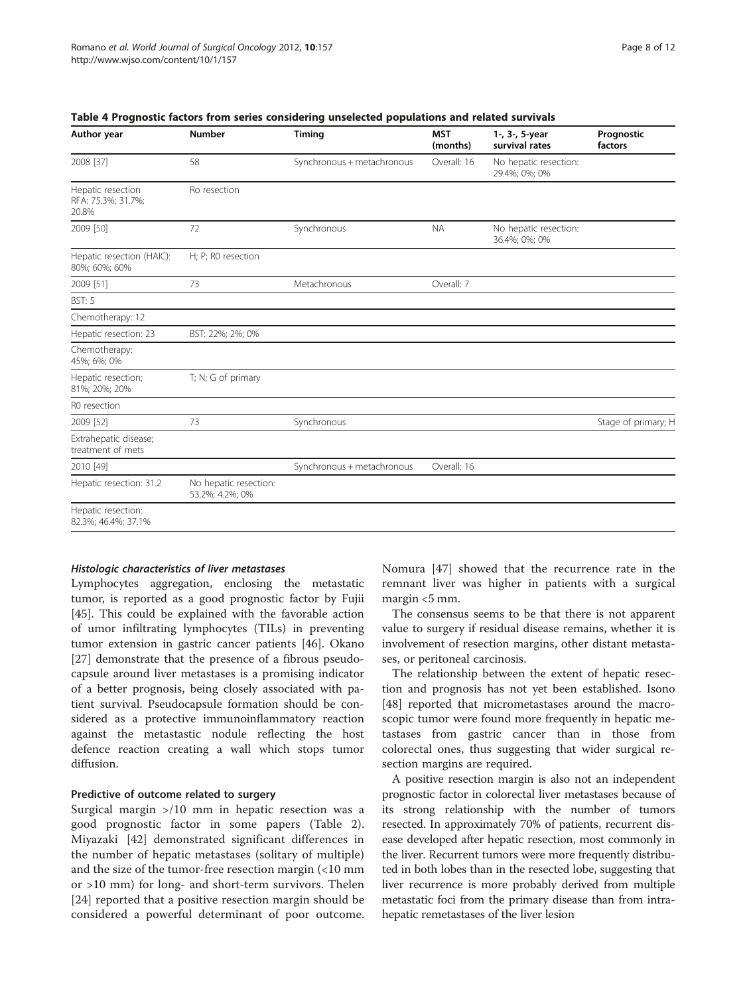| Author year                                      | <b>Number</b>                            | Timing                     | <b>MST</b><br>(months) | 1-, 3-, 5-year<br>survival rates       | Prognostic<br>factors |
|--------------------------------------------------|------------------------------------------|----------------------------|------------------------|----------------------------------------|-----------------------|
| 2008 [37]                                        | 58                                       | Synchronous + metachronous | Overall: 16            | No hepatic resection:<br>29.4%; 0%; 0% |                       |
| Hepatic resection<br>RFA: 75.3%; 31.7%;<br>20.8% | Ro resection                             |                            |                        |                                        |                       |
| 2009 [50]                                        | 72                                       | Synchronous                | <b>NA</b>              | No hepatic resection:<br>36.4%; 0%; 0% |                       |
| Hepatic resection (HAIC):<br>80%; 60%; 60%       | H; P; R0 resection                       |                            |                        |                                        |                       |
| 2009 [51]                                        | 73                                       | Metachronous               | Overall: 7             |                                        |                       |
| <b>BST: 5</b>                                    |                                          |                            |                        |                                        |                       |
| Chemotherapy: 12                                 |                                          |                            |                        |                                        |                       |
| Hepatic resection: 23                            | BST: 22%; 2%; 0%                         |                            |                        |                                        |                       |
| Chemotherapy:<br>45%; 6%; 0%                     |                                          |                            |                        |                                        |                       |
| Hepatic resection;<br>81%; 20%; 20%              | T; N; G of primary                       |                            |                        |                                        |                       |
| R0 resection                                     |                                          |                            |                        |                                        |                       |
| 2009 [52]                                        | 73                                       | Synchronous                |                        |                                        | Stage of primary; H   |
| Extrahepatic disease;<br>treatment of mets       |                                          |                            |                        |                                        |                       |
| 2010 [49]                                        |                                          | Synchronous + metachronous | Overall: 16            |                                        |                       |
| Hepatic resection: 31.2                          | No hepatic resection:<br>53.2%; 4.2%; 0% |                            |                        |                                        |                       |
| Hepatic resection:<br>82.3%; 46.4%; 37.1%        |                                          |                            |                        |                                        |                       |

<span id="page-7-0"></span>

| Table 4 Prognostic factors from series considering unselected populations and related survivals |  |  |  |
|-------------------------------------------------------------------------------------------------|--|--|--|
|-------------------------------------------------------------------------------------------------|--|--|--|

#### Histologic characteristics of liver metastases

Lymphocytes aggregation, enclosing the metastatic tumor, is reported as a good prognostic factor by Fujii [[45\]](#page-10-0). This could be explained with the favorable action of umor infiltrating lymphocytes (TILs) in preventing tumor extension in gastric cancer patients [[46](#page-10-0)]. Okano [[27\]](#page-10-0) demonstrate that the presence of a fibrous pseudocapsule around liver metastases is a promising indicator of a better prognosis, being closely associated with patient survival. Pseudocapsule formation should be considered as a protective immunoinflammatory reaction against the metastastic nodule reflecting the host defence reaction creating a wall which stops tumor diffusion.

#### Predictive of outcome related to surgery

Surgical margin >/10 mm in hepatic resection was a good prognostic factor in some papers (Table [2](#page-3-0)). Miyazaki [\[42](#page-10-0)] demonstrated significant differences in the number of hepatic metastases (solitary of multiple) and the size of the tumor-free resection margin (<10 mm or >10 mm) for long- and short-term survivors. Thelen [[24\]](#page-10-0) reported that a positive resection margin should be considered a powerful determinant of poor outcome. Nomura [[47\]](#page-10-0) showed that the recurrence rate in the remnant liver was higher in patients with a surgical margin <5 mm.

The consensus seems to be that there is not apparent value to surgery if residual disease remains, whether it is involvement of resection margins, other distant metastases, or peritoneal carcinosis.

The relationship between the extent of hepatic resection and prognosis has not yet been established. Isono [[48\]](#page-11-0) reported that micrometastases around the macroscopic tumor were found more frequently in hepatic metastases from gastric cancer than in those from colorectal ones, thus suggesting that wider surgical resection margins are required.

A positive resection margin is also not an independent prognostic factor in colorectal liver metastases because of its strong relationship with the number of tumors resected. In approximately 70% of patients, recurrent disease developed after hepatic resection, most commonly in the liver. Recurrent tumors were more frequently distributed in both lobes than in the resected lobe, suggesting that liver recurrence is more probably derived from multiple metastatic foci from the primary disease than from intrahepatic remetastases of the liver lesion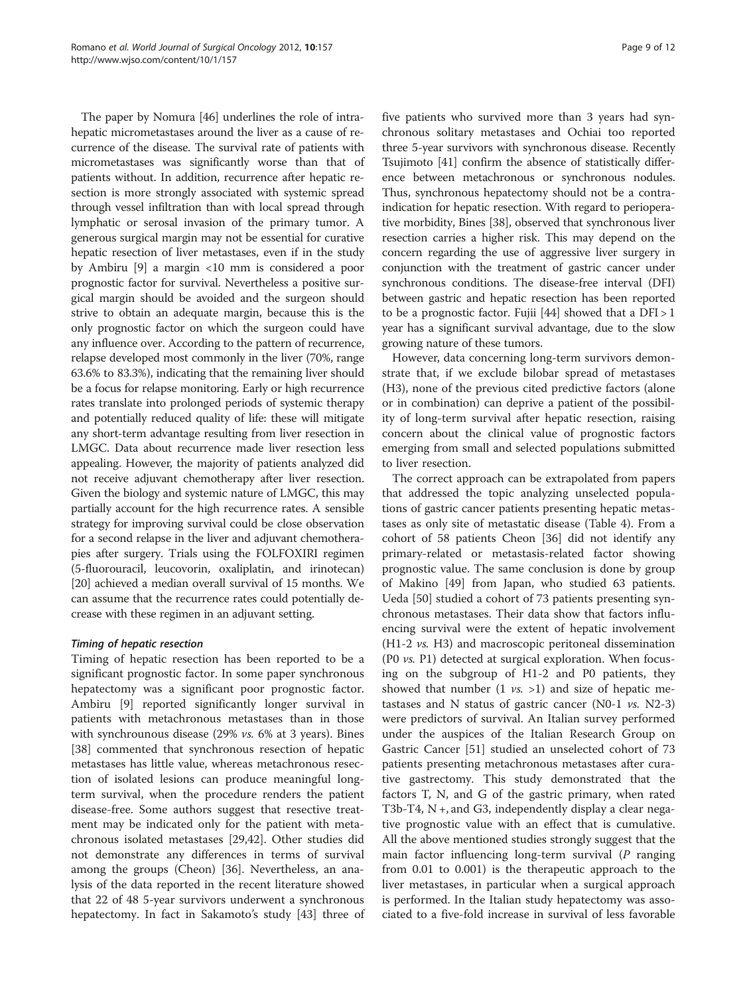The paper by Nomura [[46](#page-10-0)] underlines the role of intrahepatic micrometastases around the liver as a cause of recurrence of the disease. The survival rate of patients with micrometastases was significantly worse than that of patients without. In addition, recurrence after hepatic resection is more strongly associated with systemic spread through vessel infiltration than with local spread through lymphatic or serosal invasion of the primary tumor. A generous surgical margin may not be essential for curative hepatic resection of liver metastases, even if in the study by Ambiru [[9](#page-10-0)] a margin <10 mm is considered a poor prognostic factor for survival. Nevertheless a positive surgical margin should be avoided and the surgeon should strive to obtain an adequate margin, because this is the only prognostic factor on which the surgeon could have any influence over. According to the pattern of recurrence, relapse developed most commonly in the liver (70%, range 63.6% to 83.3%), indicating that the remaining liver should be a focus for relapse monitoring. Early or high recurrence rates translate into prolonged periods of systemic therapy and potentially reduced quality of life: these will mitigate any short-term advantage resulting from liver resection in LMGC. Data about recurrence made liver resection less appealing. However, the majority of patients analyzed did not receive adjuvant chemotherapy after liver resection. Given the biology and systemic nature of LMGC, this may partially account for the high recurrence rates. A sensible strategy for improving survival could be close observation for a second relapse in the liver and adjuvant chemotherapies after surgery. Trials using the FOLFOXIRI regimen (5-fluorouracil, leucovorin, oxaliplatin, and irinotecan) [[20](#page-10-0)] achieved a median overall survival of 15 months. We can assume that the recurrence rates could potentially decrease with these regimen in an adjuvant setting.

# Timing of hepatic resection

Timing of hepatic resection has been reported to be a significant prognostic factor. In some paper synchronous hepatectomy was a significant poor prognostic factor. Ambiru [[9\]](#page-10-0) reported significantly longer survival in patients with metachronous metastases than in those with synchrounous disease (29% vs. 6% at 3 years). Bines [[38\]](#page-10-0) commented that synchronous resection of hepatic metastases has little value, whereas metachronous resection of isolated lesions can produce meaningful longterm survival, when the procedure renders the patient disease-free. Some authors suggest that resective treatment may be indicated only for the patient with metachronous isolated metastases [\[29,42](#page-10-0)]. Other studies did not demonstrate any differences in terms of survival among the groups (Cheon) [[36\]](#page-10-0). Nevertheless, an analysis of the data reported in the recent literature showed that 22 of 48 5-year survivors underwent a synchronous hepatectomy. In fact in Sakamoto's study [[43\]](#page-10-0) three of

five patients who survived more than 3 years had synchronous solitary metastases and Ochiai too reported three 5-year survivors with synchronous disease. Recently Tsujimoto [\[41\]](#page-10-0) confirm the absence of statistically difference between metachronous or synchronous nodules. Thus, synchronous hepatectomy should not be a contraindication for hepatic resection. With regard to perioperative morbidity, Bines [\[38\]](#page-10-0), observed that synchronous liver resection carries a higher risk. This may depend on the concern regarding the use of aggressive liver surgery in conjunction with the treatment of gastric cancer under synchronous conditions. The disease-free interval (DFI) between gastric and hepatic resection has been reported to be a prognostic factor. Fujii  $[44]$  showed that a DFI > 1 year has a significant survival advantage, due to the slow growing nature of these tumors.

However, data concerning long-term survivors demonstrate that, if we exclude bilobar spread of metastases (H3), none of the previous cited predictive factors (alone or in combination) can deprive a patient of the possibility of long-term survival after hepatic resection, raising concern about the clinical value of prognostic factors emerging from small and selected populations submitted to liver resection.

The correct approach can be extrapolated from papers that addressed the topic analyzing unselected populations of gastric cancer patients presenting hepatic metastases as only site of metastatic disease (Table [4\)](#page-7-0). From a cohort of 58 patients Cheon [\[36](#page-10-0)] did not identify any primary-related or metastasis-related factor showing prognostic value. The same conclusion is done by group of Makino [\[49\]](#page-11-0) from Japan, who studied 63 patients. Ueda [[50\]](#page-11-0) studied a cohort of 73 patients presenting synchronous metastases. Their data show that factors influencing survival were the extent of hepatic involvement (H1-2 vs. H3) and macroscopic peritoneal dissemination (P0 vs. P1) detected at surgical exploration. When focusing on the subgroup of H1-2 and P0 patients, they showed that number  $(1 \text{ vs. } >1)$  and size of hepatic metastases and N status of gastric cancer (N0-1 vs. N2-3) were predictors of survival. An Italian survey performed under the auspices of the Italian Research Group on Gastric Cancer [\[51](#page-11-0)] studied an unselected cohort of 73 patients presenting metachronous metastases after curative gastrectomy. This study demonstrated that the factors T, N, and G of the gastric primary, when rated T3b-T4, N +, and G3, independently display a clear negative prognostic value with an effect that is cumulative. All the above mentioned studies strongly suggest that the main factor influencing long-term survival  $(P \text{ ranging})$ from 0.01 to 0.001) is the therapeutic approach to the liver metastases, in particular when a surgical approach is performed. In the Italian study hepatectomy was associated to a five-fold increase in survival of less favorable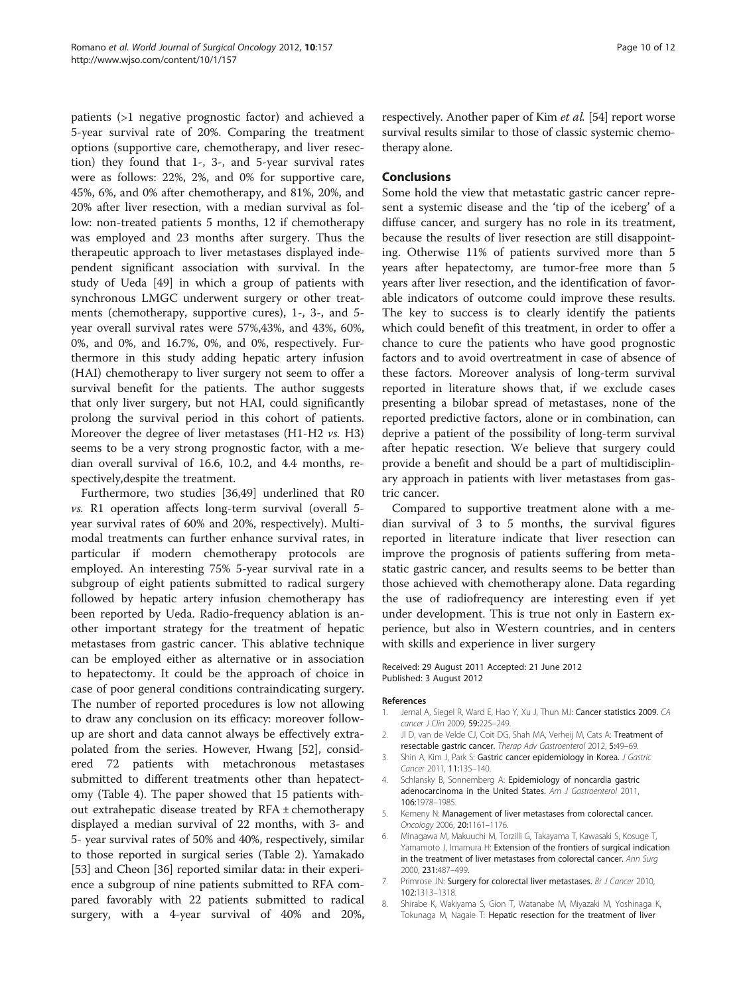<span id="page-9-0"></span>patients (>1 negative prognostic factor) and achieved a 5-year survival rate of 20%. Comparing the treatment options (supportive care, chemotherapy, and liver resection) they found that 1-, 3-, and 5-year survival rates were as follows: 22%, 2%, and 0% for supportive care, 45%, 6%, and 0% after chemotherapy, and 81%, 20%, and 20% after liver resection, with a median survival as follow: non-treated patients 5 months, 12 if chemotherapy was employed and 23 months after surgery. Thus the therapeutic approach to liver metastases displayed independent significant association with survival. In the study of Ueda [\[49](#page-11-0)] in which a group of patients with synchronous LMGC underwent surgery or other treatments (chemotherapy, supportive cures), 1-, 3-, and 5 year overall survival rates were 57%,43%, and 43%, 60%, 0%, and 0%, and 16.7%, 0%, and 0%, respectively. Furthermore in this study adding hepatic artery infusion (HAI) chemotherapy to liver surgery not seem to offer a survival benefit for the patients. The author suggests that only liver surgery, but not HAI, could significantly prolong the survival period in this cohort of patients. Moreover the degree of liver metastases (H1-H2 vs. H3) seems to be a very strong prognostic factor, with a median overall survival of 16.6, 10.2, and 4.4 months, respectively,despite the treatment.

Furthermore, two studies [[36,](#page-10-0)[49\]](#page-11-0) underlined that R0 vs. R1 operation affects long-term survival (overall 5 year survival rates of 60% and 20%, respectively). Multimodal treatments can further enhance survival rates, in particular if modern chemotherapy protocols are employed. An interesting 75% 5-year survival rate in a subgroup of eight patients submitted to radical surgery followed by hepatic artery infusion chemotherapy has been reported by Ueda. Radio-frequency ablation is another important strategy for the treatment of hepatic metastases from gastric cancer. This ablative technique can be employed either as alternative or in association to hepatectomy. It could be the approach of choice in case of poor general conditions contraindicating surgery. The number of reported procedures is low not allowing to draw any conclusion on its efficacy: moreover followup are short and data cannot always be effectively extrapolated from the series. However, Hwang [[52\]](#page-11-0), considered 72 patients with metachronous metastases submitted to different treatments other than hepatectomy (Table [4\)](#page-7-0). The paper showed that 15 patients without extrahepatic disease treated by RFA ± chemotherapy displayed a median survival of 22 months, with 3- and 5- year survival rates of 50% and 40%, respectively, similar to those reported in surgical series (Table [2\)](#page-3-0). Yamakado [[53](#page-11-0)] and Cheon [[36](#page-10-0)] reported similar data: in their experience a subgroup of nine patients submitted to RFA compared favorably with 22 patients submitted to radical surgery, with a 4-year survival of 40% and 20%, respectively. Another paper of Kim et al. [\[54](#page-11-0)] report worse survival results similar to those of classic systemic chemotherapy alone.

## Conclusions

Some hold the view that metastatic gastric cancer represent a systemic disease and the 'tip of the iceberg' of a diffuse cancer, and surgery has no role in its treatment, because the results of liver resection are still disappointing. Otherwise 11% of patients survived more than 5 years after hepatectomy, are tumor-free more than 5 years after liver resection, and the identification of favorable indicators of outcome could improve these results. The key to success is to clearly identify the patients which could benefit of this treatment, in order to offer a chance to cure the patients who have good prognostic factors and to avoid overtreatment in case of absence of these factors. Moreover analysis of long-term survival reported in literature shows that, if we exclude cases presenting a bilobar spread of metastases, none of the reported predictive factors, alone or in combination, can deprive a patient of the possibility of long-term survival after hepatic resection. We believe that surgery could provide a benefit and should be a part of multidisciplinary approach in patients with liver metastases from gastric cancer.

Compared to supportive treatment alone with a median survival of 3 to 5 months, the survival figures reported in literature indicate that liver resection can improve the prognosis of patients suffering from metastatic gastric cancer, and results seems to be better than those achieved with chemotherapy alone. Data regarding the use of radiofrequency are interesting even if yet under development. This is true not only in Eastern experience, but also in Western countries, and in centers with skills and experience in liver surgery

Received: 29 August 2011 Accepted: 21 June 2012 Published: 3 August 2012

#### References

- Jernal A, Siegel R, Ward E, Hao Y, Xu J, Thun MJ: Cancer statistics 2009. CA cancer J Clin 2009, 59:225–249.
- Jl D, van de Velde CJ, Coit DG, Shah MA, Verheij M, Cats A: Treatment of resectable gastric cancer. Therap Adv Gastroenterol 2012, 5:49–69.
- 3. Shin A, Kim J, Park S: Gastric cancer epidemiology in Korea. J Gastric Cancer 2011, 11:135–140.
- 4. Schlansky B, Sonnemberg A: Epidemiology of noncardia gastric adenocarcinoma in the United States. Am J Gastroenterol 2011, 106:1978–1985.
- 5. Kemeny N: Management of liver metastases from colorectal cancer. Oncology 2006, 20:1161–1176.
- 6. Minagawa M, Makuuchi M, Torzilli G, Takayama T, Kawasaki S, Kosuge T, Yamamoto J, Imamura H: Extension of the frontiers of surgical indication in the treatment of liver metastases from colorectal cancer. Ann Surg 2000, 231:487–499.
- 7. Primrose JN: Surgery for colorectal liver metastases. Br J Cancer 2010, 102:1313–1318.
- 8. Shirabe K, Wakiyama S, Gion T, Watanabe M, Miyazaki M, Yoshinaga K, Tokunaga M, Nagaie T: Hepatic resection for the treatment of liver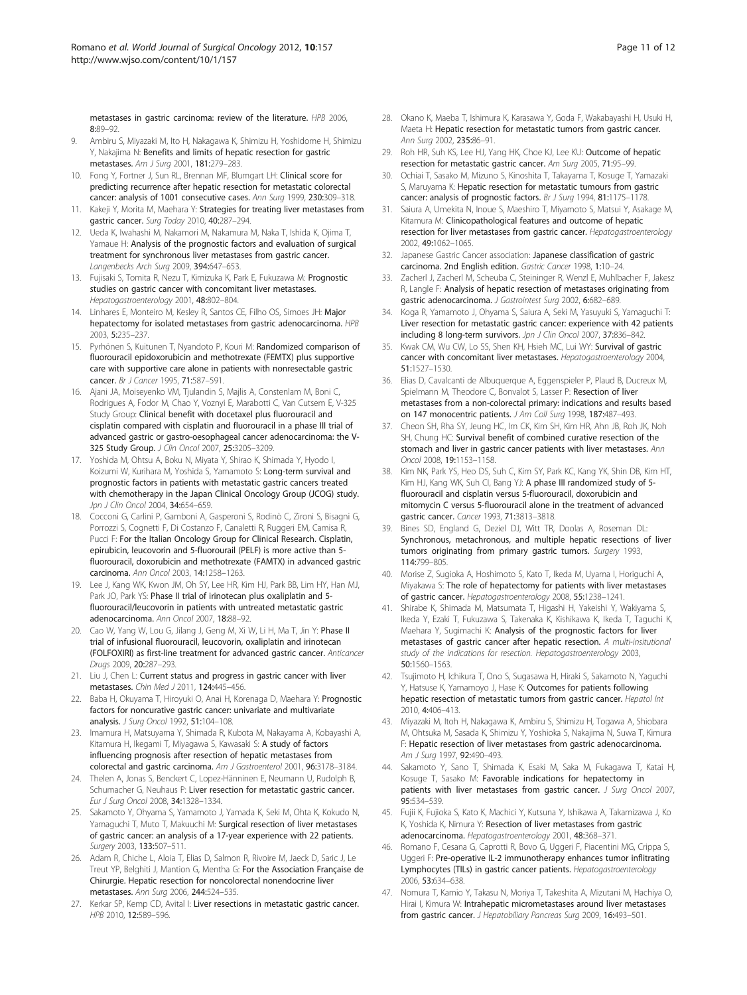<span id="page-10-0"></span>metastases in gastric carcinoma: review of the literature. HPB 2006, 8:89–92.

- 9. Ambiru S, Miyazaki M, Ito H, Nakagawa K, Shimizu H, Yoshidome H, Shimizu Y, Nakajima N: Benefits and limits of hepatic resection for gastric metastases. Am J Surg 2001, 181:279–283.
- 10. Fong Y, Fortner J, Sun RL, Brennan MF, Blumgart LH: Clinical score for predicting recurrence after hepatic resection for metastatic colorectal cancer: analysis of 1001 consecutive cases. Ann Surg 1999, 230:309–318.
- 11. Kakeji Y, Morita M, Maehara Y: Strategies for treating liver metastases from gastric cancer. Surg Today 2010, 40:287–294.
- 12. Ueda K, Iwahashi M, Nakamori M, Nakamura M, Naka T, Ishida K, Ojima T, Yamaue H: Analysis of the prognostic factors and evaluation of surgical treatment for synchronous liver metastases from gastric cancer. Langenbecks Arch Surg 2009, 394:647–653.
- 13. Fujisaki S, Tomita R, Nezu T, Kimizuka K, Park E, Fukuzawa M: Prognostic studies on gastric cancer with concomitant liver metastases. Hepatogastroenterology 2001, 48:802–804.
- 14. Linhares E, Monteiro M, Kesley R, Santos CE, Filho OS, Simoes JH: Major hepatectomy for isolated metastases from gastric adenocarcinoma. HPB 2003, 5:235–237.
- 15. Pyrhönen S, Kuitunen T, Nyandoto P, Kouri M: Randomized comparison of fluorouracil epidoxorubicin and methotrexate (FEMTX) plus supportive care with supportive care alone in patients with nonresectable gastric cancer. Br J Cancer 1995, **71:**587-591.
- 16. Ajani JA, Moiseyenko VM, Tjulandin S, Majlis A, Constenlam M, Boni C, Rodrigues A, Fodor M, Chao Y, Voznyi E, Marabotti C, Van Cutsem E, V-325 Study Group: Clinical benefit with docetaxel plus fluorouracil and cisplatin compared with cisplatin and fluorouracil in a phase III trial of advanced gastric or gastro-oesophageal cancer adenocarcinoma: the V-325 Study Group. J Clin Oncol 2007, 25:3205–3209.
- 17. Yoshida M, Ohtsu A, Boku N, Miyata Y, Shirao K, Shimada Y, Hyodo I, Koizumi W, Kurihara M, Yoshida S, Yamamoto S: Long-term survival and prognostic factors in patients with metastatic gastric cancers treated with chemotherapy in the Japan Clinical Oncology Group (JCOG) study. Jpn J Clin Oncol 2004, 34:654-659.
- 18. Cocconi G, Carlini P, Gamboni A, Gasperoni S, Rodinò C, Zironi S, Bisagni G, Porrozzi S, Cognetti F, Di Costanzo F, Canaletti R, Ruggeri EM, Camisa R, Pucci F: For the Italian Oncology Group for Clinical Research. Cisplatin, epirubicin, leucovorin and 5-fluorourail (PELF) is more active than 5 fluorouracil, doxorubicin and methotrexate (FAMTX) in advanced gastric carcinoma. Ann Oncol 2003, 14:1258–1263.
- 19. Lee J, Kang WK, Kwon JM, Oh SY, Lee HR, Kim HJ, Park BB, Lim HY, Han MJ, Park JO, Park YS: Phase II trial of irinotecan plus oxaliplatin and 5fluorouracil/leucovorin in patients with untreated metastatic gastric adenocarcinoma. Ann Oncol 2007, 18:88–92.
- 20. Cao W, Yang W, Lou G, Jilang J, Geng M, Xi W, Li H, Ma T, Jin Y: Phase II trial of infusional fluorouracil, leucovorin, oxaliplatin and irinotecan (FOLFOXIRI) as first-line treatment for advanced gastric cancer. Anticancer Drugs 2009, 20:287–293.
- 21. Liu J, Chen L: Current status and progress in gastric cancer with liver metastases. Chin Med J 2011, 124:445–456.
- 22. Baba H, Okuyama T, Hiroyuki O, Anai H, Korenaga D, Maehara Y: Prognostic factors for noncurative gastric cancer: univariate and multivariate analysis. J Surg Oncol 1992, 51:104–108.
- 23. Imamura H, Matsuyama Y, Shimada R, Kubota M, Nakayama A, Kobayashi A, Kitamura H, Ikegami T, Miyagawa S, Kawasaki S: A study of factors influencing prognosis after resection of hepatic metastases from colorectal and gastric carcinoma. Am J Gastroenterol 2001, 96:3178–3184.
- 24. Thelen A, Jonas S, Benckert C, Lopez-Hänninen E, Neumann U, Rudolph B, Schumacher G, Neuhaus P: Liver resection for metastatic gastric cancer. Eur J Surg Oncol 2008, 34:1328–1334.
- 25. Sakamoto Y, Ohyama S, Yamamoto J, Yamada K, Seki M, Ohta K, Kokudo N, Yamaguchi T, Muto T, Makuuchi M: Surgical resection of liver metastases of gastric cancer: an analysis of a 17-year experience with 22 patients. Surgery 2003, 133:507–511.
- 26. Adam R, Chiche L, Aloia T, Elias D, Salmon R, Rivoire M, Jaeck D, Saric J, Le Treut YP, Belghiti J, Mantion G, Mentha G: For the Association Française de Chirurgie. Hepatic resection for noncolorectal nonendocrine liver metastases. Ann Surg 2006, 244:524–535.
- 27. Kerkar SP, Kemp CD, Avital I: Liver resections in metastatic gastric cancer. HPB 2010, 12:589–596.
- 28. Okano K, Maeba T, Ishimura K, Karasawa Y, Goda F, Wakabayashi H, Usuki H, Maeta H: Hepatic resection for metastatic tumors from gastric cancer. Ann Surg 2002, 235:86–91.
- 29. Roh HR, Suh KS, Lee HJ, Yang HK, Choe KJ, Lee KU: Outcome of hepatic resection for metastatic gastric cancer. Am Surg 2005, 71:95–99.
- 30. Ochiai T, Sasako M, Mizuno S, Kinoshita T, Takayama T, Kosuge T, Yamazaki S, Maruyama K: Hepatic resection for metastatic tumours from gastric cancer: analysis of prognostic factors. Br J Surg 1994, 81:1175–1178.
- 31. Saiura A, Umekita N, Inoue S, Maeshiro T, Miyamoto S, Matsui Y, Asakage M, Kitamura M: Clinicopathological features and outcome of hepatic resection for liver metastases from gastric cancer. Hepatogastroenterology 2002, 49:1062–1065.
- 32. Japanese Gastric Cancer association: Japanese classification of gastric carcinoma. 2nd English edition. Gastric Cancer 1998, 1:10–24.
- 33. Zacherl J, Zacherl M, Scheuba C, Steininger R, Wenzl E, Muhlbacher F, Jakesz R, Langle F: Analysis of hepatic resection of metastases originating from gastric adenocarcinoma. J Gastrointest Surg 2002, 6:682–689.
- 34. Koga R, Yamamoto J, Ohyama S, Saiura A, Seki M, Yasuyuki S, Yamaguchi T: Liver resection for metastatic gastric cancer: experience with 42 patients including 8 long-term survivors. Jpn J Clin Oncol 2007, 37:836-842.
- 35. Kwak CM, Wu CW, Lo SS, Shen KH, Hsieh MC, Lui WY: Survival of gastric cancer with concomitant liver metastases. Hepatogastroenterology 2004, 51:1527–1530.
- 36. Elias D, Cavalcanti de Albuquerque A, Eggenspieler P, Plaud B, Ducreux M, Spielmann M, Theodore C, Bonvalot S, Lasser P: Resection of liver metastases from a non-colorectal primary: indications and results based on 147 monocentric patients. J Am Coll Surg 1998, 187:487–493.
- 37. Cheon SH, Rha SY, Jeung HC, Im CK, Kim SH, Kim HR, Ahn JB, Roh JK, Noh SH, Chung HC: Survival benefit of combined curative resection of the stomach and liver in gastric cancer patients with liver metastases. Ann Oncol 2008, 19:1153–1158.
- 38. Kim NK, Park YS, Heo DS, Suh C, Kim SY, Park KC, Kang YK, Shin DB, Kim HT, Kim HJ, Kang WK, Suh CI, Bang YJ: A phase III randomized study of 5fluorouracil and cisplatin versus 5-fluorouracil, doxorubicin and mitomycin C versus 5-fluorouracil alone in the treatment of advanced gastric cancer. Cancer 1993, 71:3813–3818.
- 39. Bines SD, England G, Deziel DJ, Witt TR, Doolas A, Roseman DL: Synchronous, metachronous, and multiple hepatic resections of liver tumors originating from primary gastric tumors. Surgery 1993, 114:799–805.
- 40. Morise Z, Sugioka A, Hoshimoto S, Kato T, Ikeda M, Uyama I, Horiguchi A, Miyakawa S: The role of hepatectomy for patients with liver metastases of gastric cancer. Hepatogastroenterology 2008, 55:1238–1241.
- 41. Shirabe K, Shimada M, Matsumata T, Higashi H, Yakeishi Y, Wakiyama S, Ikeda Y, Ezaki T, Fukuzawa S, Takenaka K, Kishikawa K, Ikeda T, Taguchi K, Maehara Y, Sugimachi K: Analysis of the prognostic factors for liver metastases of gastric cancer after hepatic resection. A multi-insitutional study of the indications for resection. Hepatogastroenterology 2003, 50:1560–1563.
- 42. Tsujimoto H, Ichikura T, Ono S, Sugasawa H, Hiraki S, Sakamoto N, Yaguchi Y, Hatsuse K, Yamamoyo J, Hase K: Outcomes for patients following hepatic resection of metastatic tumors from gastric cancer. Hepatol Int 2010, 4:406–413.
- 43. Miyazaki M, Itoh H, Nakagawa K, Ambiru S, Shimizu H, Togawa A, Shiobara M, Ohtsuka M, Sasada K, Shimizu Y, Yoshioka S, Nakajima N, Suwa T, Kimura F: Hepatic resection of liver metastases from gastric adenocarcinoma. Am J Surg 1997, 92:490-493.
- 44. Sakamoto Y, Sano T, Shimada K, Esaki M, Saka M, Fukagawa T, Katai H, Kosuge T, Sasako M: Favorable indications for hepatectomy in patients with liver metastases from gastric cancer. J Surg Oncol 2007, 95:534–539.
- 45. Fujii K, Fujioka S, Kato K, Machici Y, Kutsuna Y, Ishikawa A, Takamizawa J, Ko K, Yoshida K, Nimura Y: Resection of liver metastases from gastric adenocarcinoma. Hepatogastroenterology 2001, 48:368-371.
- 46. Romano F, Cesana G, Caprotti R, Bovo G, Uggeri F, Piacentini MG, Crippa S, Uggeri F: Pre-operative IL-2 immunotherapy enhances tumor inflitrating Lymphocytes (TILs) in gastric cancer patients. Hepatogastroenterology 2006, 53:634–638.
- 47. Nomura T, Kamio Y, Takasu N, Moriya T, Takeshita A, Mizutani M, Hachiya O, Hirai I, Kimura W: Intrahepatic micrometastases around liver metastases from gastric cancer. J Hepatobiliary Pancreas Surg 2009, 16:493-501.